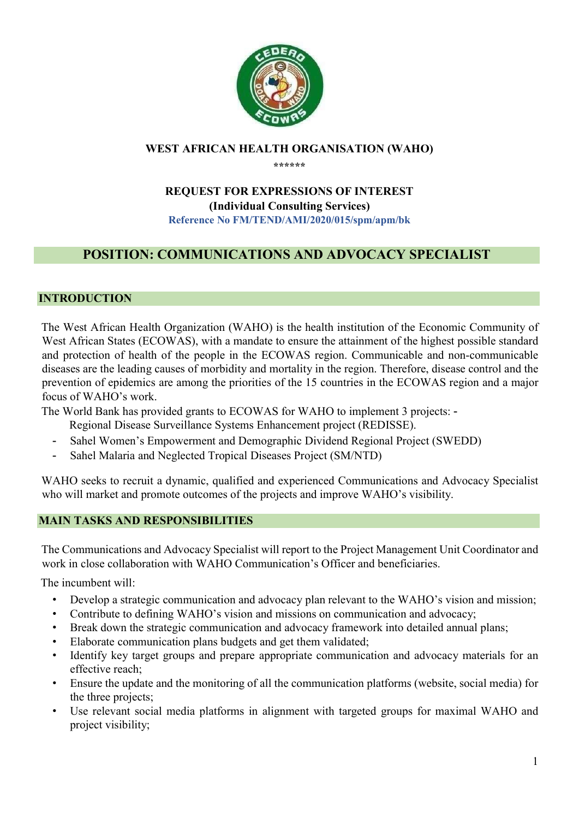

## WEST AFRICAN HEALTH ORGANISATION (WAHO)

\*\*\*\*\*\*

### REQUEST FOR EXPRESSIONS OF INTEREST (Individual Consulting Services) Reference No FM/TEND/AMI/2020/015/spm/apm/bk

# POSITION: COMMUNICATIONS AND ADVOCACY SPECIALIST

#### INTRODUCTION

The West African Health Organization (WAHO) is the health institution of the Economic Community of West African States (ECOWAS), with a mandate to ensure the attainment of the highest possible standard and protection of health of the people in the ECOWAS region. Communicable and non-communicable diseases are the leading causes of morbidity and mortality in the region. Therefore, disease control and the prevention of epidemics are among the priorities of the 15 countries in the ECOWAS region and a major focus of WAHO's work.

The World Bank has provided grants to ECOWAS for WAHO to implement 3 projects: -

- Regional Disease Surveillance Systems Enhancement project (REDISSE).
- Sahel Women's Empowerment and Demographic Dividend Regional Project (SWEDD)
- Sahel Malaria and Neglected Tropical Diseases Project (SM/NTD)

WAHO seeks to recruit a dynamic, qualified and experienced Communications and Advocacy Specialist who will market and promote outcomes of the projects and improve WAHO's visibility.

### MAIN TASKS AND RESPONSIBILITIES

The Communications and Advocacy Specialist will report to the Project Management Unit Coordinator and work in close collaboration with WAHO Communication's Officer and beneficiaries.

The incumbent will:

- Develop a strategic communication and advocacy plan relevant to the WAHO's vision and mission;
- Contribute to defining WAHO's vision and missions on communication and advocacy;
- Break down the strategic communication and advocacy framework into detailed annual plans;
- Elaborate communication plans budgets and get them validated;
- Identify key target groups and prepare appropriate communication and advocacy materials for an effective reach;
- Ensure the update and the monitoring of all the communication platforms (website, social media) for the three projects;
- Use relevant social media platforms in alignment with targeted groups for maximal WAHO and project visibility;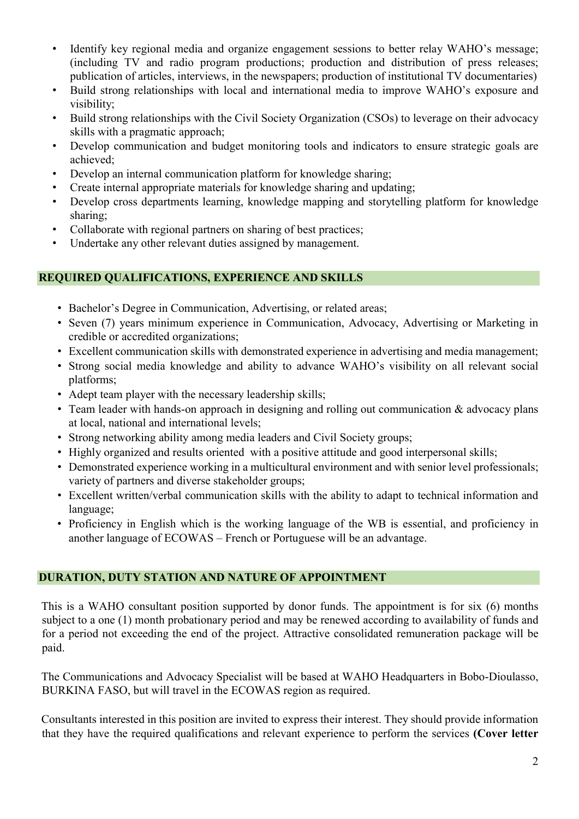- Identify key regional media and organize engagement sessions to better relay WAHO's message; (including TV and radio program productions; production and distribution of press releases; publication of articles, interviews, in the newspapers; production of institutional TV documentaries)
- Build strong relationships with local and international media to improve WAHO's exposure and visibility;
- Build strong relationships with the Civil Society Organization (CSOs) to leverage on their advocacy skills with a pragmatic approach;
- Develop communication and budget monitoring tools and indicators to ensure strategic goals are achieved;
- Develop an internal communication platform for knowledge sharing;
- Create internal appropriate materials for knowledge sharing and updating;
- Develop cross departments learning, knowledge mapping and storytelling platform for knowledge sharing;
- Collaborate with regional partners on sharing of best practices;
- Undertake any other relevant duties assigned by management.

### REQUIRED QUALIFICATIONS, EXPERIENCE AND SKILLS

- Bachelor's Degree in Communication, Advertising, or related areas;
- Seven (7) years minimum experience in Communication, Advocacy, Advertising or Marketing in credible or accredited organizations;
- Excellent communication skills with demonstrated experience in advertising and media management;
- Strong social media knowledge and ability to advance WAHO's visibility on all relevant social platforms;
- Adept team player with the necessary leadership skills;
- Team leader with hands-on approach in designing and rolling out communication & advocacy plans at local, national and international levels;
- Strong networking ability among media leaders and Civil Society groups;
- Highly organized and results oriented with a positive attitude and good interpersonal skills;
- Demonstrated experience working in a multicultural environment and with senior level professionals; variety of partners and diverse stakeholder groups;
- Excellent written/verbal communication skills with the ability to adapt to technical information and language;
- Proficiency in English which is the working language of the WB is essential, and proficiency in another language of ECOWAS – French or Portuguese will be an advantage.

### DURATION, DUTY STATION AND NATURE OF APPOINTMENT

This is a WAHO consultant position supported by donor funds. The appointment is for six (6) months subject to a one (1) month probationary period and may be renewed according to availability of funds and for a period not exceeding the end of the project. Attractive consolidated remuneration package will be paid.

The Communications and Advocacy Specialist will be based at WAHO Headquarters in Bobo-Dioulasso, BURKINA FASO, but will travel in the ECOWAS region as required.

Consultants interested in this position are invited to express their interest. They should provide information that they have the required qualifications and relevant experience to perform the services (Cover letter